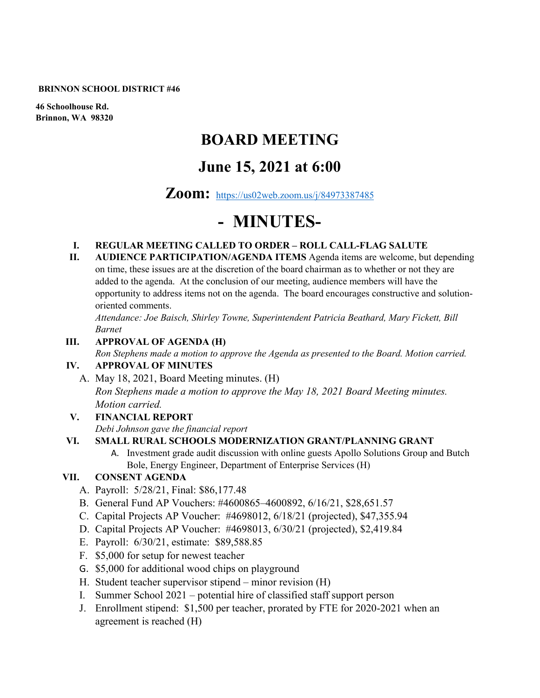#### **BRINNON SCHOOL DISTRICT #46**

**46 Schoolhouse Rd. Brinnon, WA 98320**

# **BOARD MEETING**

## **June 15, 2021 at 6:00**

### **Zoom:** <https://us02web.zoom.us/j/84973387485>

# **- MINUTES-**

#### **I. REGULAR MEETING CALLED TO ORDER – ROLL CALL-FLAG SALUTE**

**II. AUDIENCE PARTICIPATION/AGENDA ITEMS** Agenda items are welcome, but depending on time, these issues are at the discretion of the board chairman as to whether or not they are added to the agenda. At the conclusion of our meeting, audience members will have the opportunity to address items not on the agenda. The board encourages constructive and solutionoriented comments.

*Attendance: Joe Baisch, Shirley Towne, Superintendent Patricia Beathard, Mary Fickett, Bill Barnet* 

#### **III. APPROVAL OF AGENDA (H)**

*Ron Stephens made a motion to approve the Agenda as presented to the Board. Motion carried.* 

#### **IV. APPROVAL OF MINUTES**

A. May 18, 2021, Board Meeting minutes. (H)

*Ron Stephens made a motion to approve the May 18, 2021 Board Meeting minutes. Motion carried.* 

**V. FINANCIAL REPORT**

*Debi Johnson gave the financial report* 

#### **VI. SMALL RURAL SCHOOLS MODERNIZATION GRANT/PLANNING GRANT**

A. Investment grade audit discussion with online guests Apollo Solutions Group and Butch Bole, Energy Engineer, Department of Enterprise Services (H)

#### **VII. CONSENT AGENDA**

- A. Payroll: 5/28/21, Final: \$86,177.48
- B. General Fund AP Vouchers: #4600865–4600892, 6/16/21, \$28,651.57
- C. Capital Projects AP Voucher: #4698012, 6/18/21 (projected), \$47,355.94
- D. Capital Projects AP Voucher: #4698013, 6/30/21 (projected), \$2,419.84
- E. Payroll: 6/30/21, estimate: \$89,588.85
- F. \$5,000 for setup for newest teacher
- G. \$5,000 for additional wood chips on playground
- H. Student teacher supervisor stipend minor revision (H)
- I. Summer School 2021 potential hire of classified staff support person
- J. Enrollment stipend: \$1,500 per teacher, prorated by FTE for 2020-2021 when an agreement is reached (H)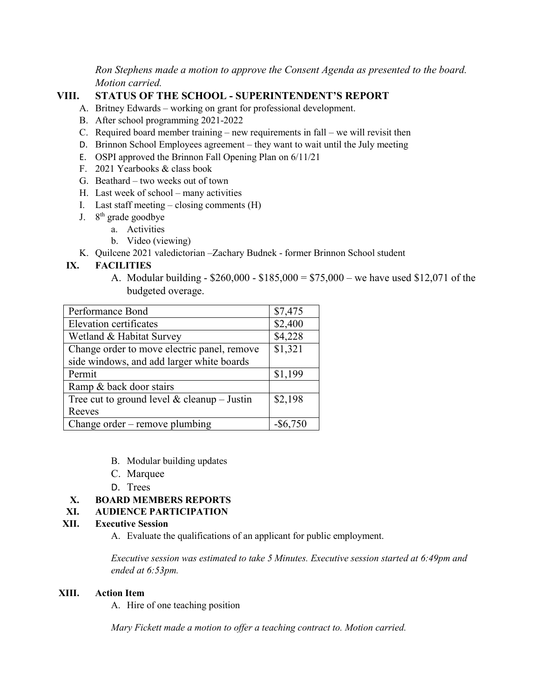*Ron Stephens made a motion to approve the Consent Agenda as presented to the board. Motion carried.*

#### **VIII. STATUS OF THE SCHOOL - SUPERINTENDENT'S REPORT**

- A. Britney Edwards working on grant for professional development.
- B. After school programming 2021-2022
- C. Required board member training new requirements in fall we will revisit then
- D. Brinnon School Employees agreement they want to wait until the July meeting
- E. OSPI approved the Brinnon Fall Opening Plan on 6/11/21
- F. 2021 Yearbooks & class book
- G. Beathard two weeks out of town
- H. Last week of school many activities
- I. Last staff meeting closing comments (H)
- J.  $8<sup>th</sup>$  grade goodbye
	- a. Activities
	- b. Video (viewing)
- K. Quilcene 2021 valedictorian –Zachary Budnek former Brinnon School student

#### **IX. FACILITIES**

A. Modular building - \$260,000 - \$185,000 = \$75,000 – we have used \$12,071 of the budgeted overage.

| Performance Bond                            | \$7,475     |
|---------------------------------------------|-------------|
| Elevation certificates                      | \$2,400     |
| Wetland & Habitat Survey                    | \$4,228     |
| Change order to move electric panel, remove | \$1,321     |
| side windows, and add larger white boards   |             |
| Permit                                      | \$1,199     |
| Ramp & back door stairs                     |             |
| Tree cut to ground level & cleanup – Justin | \$2,198     |
| Reeves                                      |             |
| Change order – remove plumbing              | $-$ \$6,750 |

- B. Modular building updates
- C. Marquee
- D. Trees

#### **X. BOARD MEMBERS REPORTS**

#### **XI. AUDIENCE PARTICIPATION**

#### **XII. Executive Session**

A. Evaluate the qualifications of an applicant for public employment.

*Executive session was estimated to take 5 Minutes. Executive session started at 6:49pm and ended at 6:53pm.*

#### **XIII. Action Item**

A. Hire of one teaching position

*Mary Fickett made a motion to offer a teaching contract to. Motion carried.*